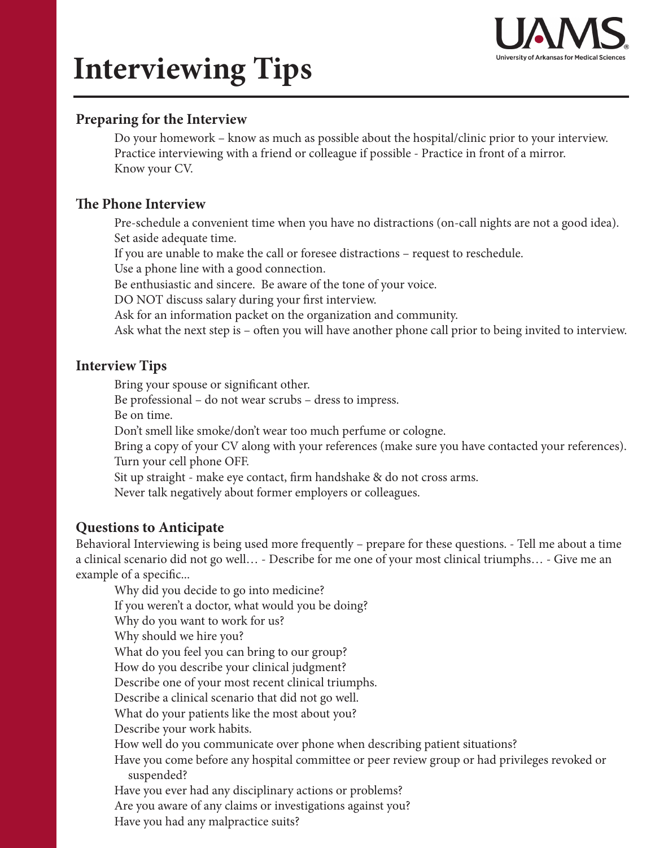

# **Interviewing Tips**

### **Preparing for the Interview**

Do your homework – know as much as possible about the hospital/clinic prior to your interview. Practice interviewing with a friend or colleague if possible - Practice in front of a mirror. Know your CV.

#### **The Phone Interview**

Pre-schedule a convenient time when you have no distractions (on-call nights are not a good idea). Set aside adequate time.

If you are unable to make the call or foresee distractions – request to reschedule.

Use a phone line with a good connection.

Be enthusiastic and sincere. Be aware of the tone of your voice.

DO NOT discuss salary during your first interview.

Ask for an information packet on the organization and community.

Ask what the next step is – often you will have another phone call prior to being invited to interview.

#### **Interview Tips**

Bring your spouse or significant other.

Be professional – do not wear scrubs – dress to impress.

Be on time.

Don't smell like smoke/don't wear too much perfume or cologne.

Bring a copy of your CV along with your references (make sure you have contacted your references). Turn your cell phone OFF.

Sit up straight - make eye contact, firm handshake & do not cross arms.

Never talk negatively about former employers or colleagues.

### **Questions to Anticipate**

Behavioral Interviewing is being used more frequently – prepare for these questions. - Tell me about a time a clinical scenario did not go well… - Describe for me one of your most clinical triumphs… - Give me an example of a specific...

Why did you decide to go into medicine? If you weren't a doctor, what would you be doing? Why do you want to work for us? Why should we hire you? What do you feel you can bring to our group? How do you describe your clinical judgment? Describe one of your most recent clinical triumphs. Describe a clinical scenario that did not go well. What do your patients like the most about you? Describe your work habits. How well do you communicate over phone when describing patient situations? Have you come before any hospital committee or peer review group or had privileges revoked or suspended? Have you ever had any disciplinary actions or problems? Are you aware of any claims or investigations against you? Have you had any malpractice suits?